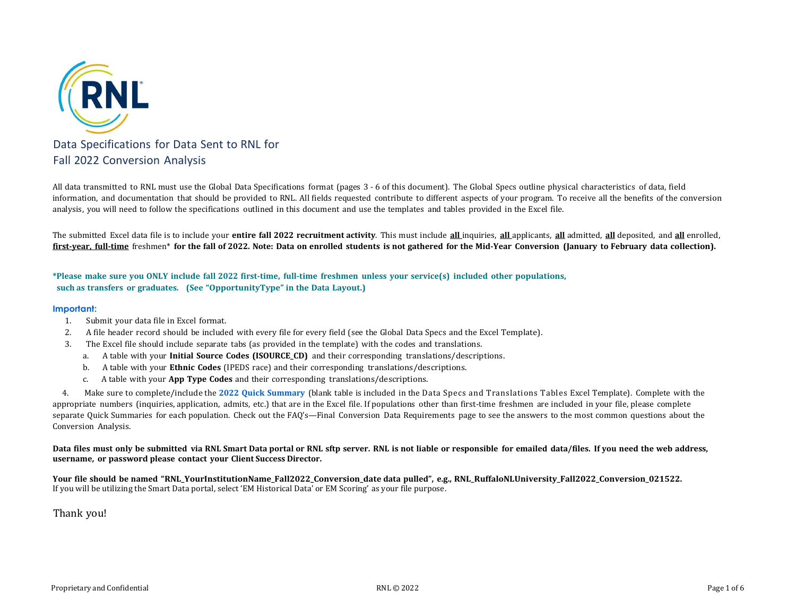

All data transmitted to RNL must use the Global Data Specifications format (pages 3 - 6 of this document). The Global Specs outline physical characteristics of data, field information, and documentation that should be provided to RNL. All fields requested contribute to different aspects of your program. To receive all the benefits of the conversion analysis, you will need to follow the specifications outlined in this document and use the templates and tables provided in the Excel file.

The submitted Excel data file is to include your **entire fall 2022 recruitment activity**. This must include **all** inquiries, **all** applicants, **all** admitted, **all** deposited, and **all** enrolled, first-year, full-time freshmen\* for the fall of 2022. Note: Data on enrolled students is not gathered for the Mid-Year Conversion (January to February data collection).

\*Please make sure you ONLY include fall 2022 first-time, full-time freshmen unless your service(s) included other populations, **such as transfers or graduates. (See "OpportunityType" in the Data Layout.)**

## **Important:**

- 1. Submit your data file in Excel format.
- 2. A file header record should be included with every file for every field (see the Global Data Specs and the Excel Template).
- 3. The Excel file should include separate tabs (as provided in the template) with the codes and translations.
	- a. A table with your **Initial Source Codes (ISOURCE\_CD)** and their corresponding translations/descriptions.
	- b. A table with your **Ethnic Codes** (IPEDS race) and their corresponding translations/descriptions.
	- c. A table with your **App Type Codes** and their corresponding translations/descriptions.

4. Make sure to complete/include the **2022 Quick Summary** (blank table is included in the Data Specs and Translations Tables Excel Template). Complete with the appropriate numbers (inquiries, application, admits, etc.) that are in the Excel file. If populations other than first-time freshmen are included in your file, please complete separate Quick Summaries for each population. Check out the FAQ's—Final Conversion Data Requirements page to see the answers to the most common questions about the Conversion Analysis.

Data files must only be submitted via RNL Smart Data portal or RNL sftp server. RNL is not liable or responsible for emailed data/files. If you need the web address, **username, or password please contact your Client Success Director.**

Your file should be named "RNL\_YourInstitutionName\_Fall2022\_Conversion\_date data pulled", e.g., RNL\_RuffaloNLUniversity\_Fall2022\_Conversion\_021522. If you will be utilizing the Smart Data portal, select 'EM Historical Data' or EM Scoring' as your file purpose.

Thank you!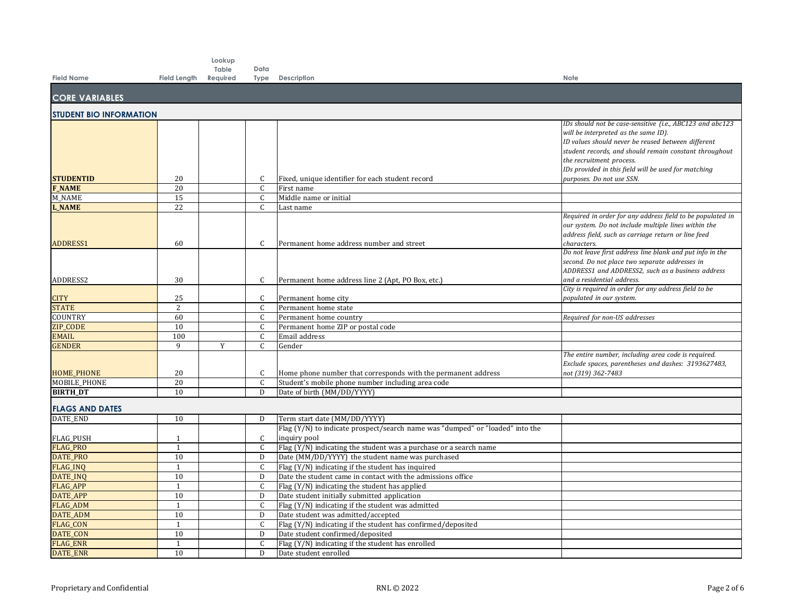|                                |                    | Lookup   |                   |                                                                               |                                                                                                                                                                                                                                                                                                                                    |
|--------------------------------|--------------------|----------|-------------------|-------------------------------------------------------------------------------|------------------------------------------------------------------------------------------------------------------------------------------------------------------------------------------------------------------------------------------------------------------------------------------------------------------------------------|
|                                |                    | Table    | Data              |                                                                               |                                                                                                                                                                                                                                                                                                                                    |
| <b>Field Name</b>              | Field Length       | Required |                   | <b>Type Description</b>                                                       | Note                                                                                                                                                                                                                                                                                                                               |
| <b>CORE VARIABLES</b>          |                    |          |                   |                                                                               |                                                                                                                                                                                                                                                                                                                                    |
| <b>STUDENT BIO INFORMATION</b> |                    |          |                   |                                                                               |                                                                                                                                                                                                                                                                                                                                    |
| <b>STUDENTID</b>               | 20                 |          | C                 | Fixed, unique identifier for each student record                              | IDs should not be case-sensitive (i.e., ABC123 and abc123<br>will be interpreted as the same ID).<br>ID values should never be reused between different<br>student records, and should remain constant throughout<br>the recruitment process.<br>IDs provided in this field will be used for matching<br>purposes. Do not use SSN. |
| <b>F_NAME</b>                  | 20                 |          | C                 | First name                                                                    |                                                                                                                                                                                                                                                                                                                                    |
| M NAME                         | 15                 |          | $\mathsf{C}$      | Middle name or initial                                                        |                                                                                                                                                                                                                                                                                                                                    |
| <b>L NAME</b>                  | 22                 |          | $\mathsf{C}$      | Last name                                                                     |                                                                                                                                                                                                                                                                                                                                    |
| ADDRESS1                       | 60                 |          | C                 | Permanent home address number and street                                      | Required in order for any address field to be populated in<br>our system. Do not include multiple lines within the<br>address field, such as carriage return or line feed<br>characters.                                                                                                                                           |
| ADDRESS2                       | 30                 |          | C                 | Permanent home address line 2 (Apt, PO Box, etc.)                             | Do not leave first address line blank and put info in the<br>second. Do not place two separate addresses in<br>ADDRESS1 and ADDRESS2, such as a business address<br>and a residential address.                                                                                                                                     |
|                                |                    |          |                   |                                                                               | City is required in order for any address field to be                                                                                                                                                                                                                                                                              |
| <b>CITY</b><br><b>STATE</b>    | 25<br>2            |          | C<br>$\mathsf{C}$ | Permanent home city<br>Permanent home state                                   | populated in our system.                                                                                                                                                                                                                                                                                                           |
| COUNTRY                        | 60                 |          | $\mathsf{C}$      | Permanent home country                                                        | Required for non-US addresses                                                                                                                                                                                                                                                                                                      |
| ZIP_CODE                       | 10                 |          | C                 | Permanent home ZIP or postal code                                             |                                                                                                                                                                                                                                                                                                                                    |
| <b>EMAIL</b>                   | 100                |          | $\mathsf{C}$      | Email address                                                                 |                                                                                                                                                                                                                                                                                                                                    |
| <b>GENDER</b>                  | $\mathbf{q}$       | Y        | $\mathsf{C}$      | Gender                                                                        |                                                                                                                                                                                                                                                                                                                                    |
| <b>HOME_PHONE</b>              | 20                 |          | C                 | Home phone number that corresponds with the permanent address                 | The entire number, including area code is required.<br>Exclude spaces, parentheses and dashes: 3193627483,<br>not (319) 362-7483                                                                                                                                                                                                   |
| <b>MOBILE PHONE</b>            | 20                 |          | $\mathsf{C}$      | Student's mobile phone number including area code                             |                                                                                                                                                                                                                                                                                                                                    |
| <b>BIRTH_DT</b>                | 10                 |          | D                 | Date of birth (MM/DD/YYYY)                                                    |                                                                                                                                                                                                                                                                                                                                    |
| <b>FLAGS AND DATES</b>         |                    |          |                   |                                                                               |                                                                                                                                                                                                                                                                                                                                    |
| DATE END                       | 10                 |          | D                 | Term start date (MM/DD/YYYY)                                                  |                                                                                                                                                                                                                                                                                                                                    |
|                                |                    |          |                   | Flag (Y/N) to indicate prospect/search name was "dumped" or "loaded" into the |                                                                                                                                                                                                                                                                                                                                    |
| <b>FLAG_PUSH</b>               | 1                  |          | C                 | inquiry pool                                                                  |                                                                                                                                                                                                                                                                                                                                    |
| <b>FLAG PRO</b>                | 1                  |          | C                 | Flag $(Y/N)$ indicating the student was a purchase or a search name           |                                                                                                                                                                                                                                                                                                                                    |
| <b>DATE_PRO</b>                | $\overline{10}$    |          | D                 | Date (MM/DD/YYYY) the student name was purchased                              |                                                                                                                                                                                                                                                                                                                                    |
| <b>FLAG_INQ</b>                | 1                  |          | $\mathsf{C}$      | Flag (Y/N) indicating if the student has inquired                             |                                                                                                                                                                                                                                                                                                                                    |
| DATE_INQ                       | 10                 |          | D                 | Date the student came in contact with the admissions office                   |                                                                                                                                                                                                                                                                                                                                    |
| <b>FLAG_APP</b>                | $\mathbf{1}$       |          | C                 | Flag (Y/N) indicating the student has applied                                 |                                                                                                                                                                                                                                                                                                                                    |
| <b>DATE_APP</b>                | 10                 |          | D                 | Date student initially submitted application                                  |                                                                                                                                                                                                                                                                                                                                    |
| <b>FLAG ADM</b>                | $\mathbf{1}$       |          | $\mathsf{C}$      | Flag (Y/N) indicating if the student was admitted                             |                                                                                                                                                                                                                                                                                                                                    |
| <b>DATE_ADM</b>                | 10                 |          | D                 | Date student was admitted/accepted                                            |                                                                                                                                                                                                                                                                                                                                    |
| <b>FLAG_CON</b>                | $\mathbf{1}$       |          | $\mathsf{C}$      | Flag (Y/N) indicating if the student has confirmed/deposited                  |                                                                                                                                                                                                                                                                                                                                    |
| DATE_CON                       | 10<br>$\mathbf{1}$ |          | D                 | Date student confirmed/deposited                                              |                                                                                                                                                                                                                                                                                                                                    |
| <b>FLAG_ENR</b>                | 10                 |          | $\mathsf{C}$<br>D | Flag (Y/N) indicating if the student has enrolled                             |                                                                                                                                                                                                                                                                                                                                    |
| <b>DATE_ENR</b>                |                    |          |                   | Date student enrolled                                                         |                                                                                                                                                                                                                                                                                                                                    |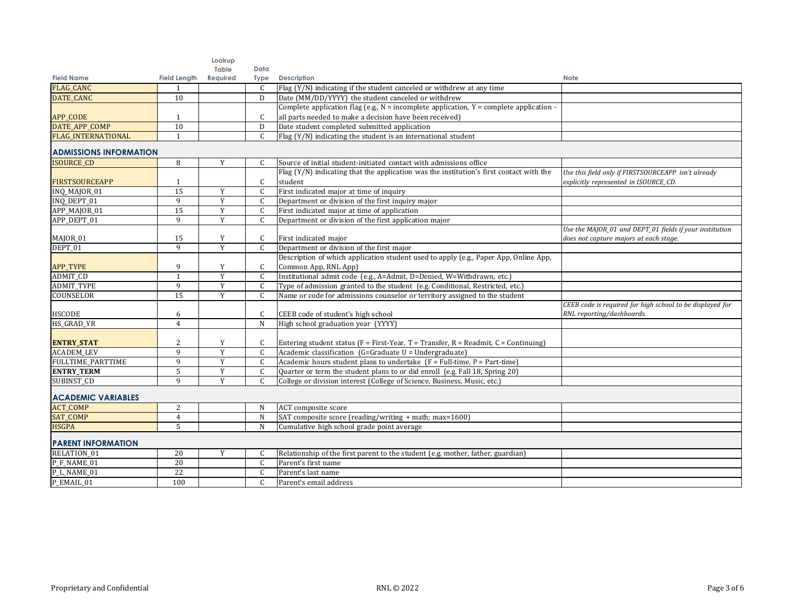|                               |                     | Lookup         |               |                                                                                             |                                                           |
|-------------------------------|---------------------|----------------|---------------|---------------------------------------------------------------------------------------------|-----------------------------------------------------------|
|                               |                     | Table          | Data          |                                                                                             |                                                           |
| <b>Field Name</b>             | <b>Field Length</b> | Required       | Type          | Description                                                                                 | Note                                                      |
| FLAG_CANC                     |                     |                | C             | Flag (Y/N) indicating if the student canceled or withdrew at any time                       |                                                           |
| DATE_CANC                     | $\overline{10}$     |                | D             | Date (MM/DD/YYYY) the student canceled or withdrew                                          |                                                           |
|                               |                     |                |               | Complete application flag (e.g., $N =$ incomplete application, $Y =$ complete application - |                                                           |
| APP_CODE                      |                     |                | C             | all parts needed to make a decision have been received)                                     |                                                           |
| DATE_APP_COMP                 | 10                  |                | D             | Date student completed submitted application                                                |                                                           |
| <b>FLAG INTERNATIONAL</b>     | $\mathbf{1}$        |                | C             | Flag (Y/N) indicating the student is an international student                               |                                                           |
| <b>ADMISSIONS INFORMATION</b> |                     |                |               |                                                                                             |                                                           |
| <b>ISOURCE_CD</b>             | 8                   | Y              | C.            | Source of initial student-initiated contact with admissions office                          |                                                           |
|                               |                     |                |               | Flag (Y/N) indicating that the application was the institution's first contact with the     | Use this field only if FIRSTSOURCEAPP isn't already       |
| <b>FIRSTSOURCEAPP</b>         | 1                   |                | $\mathsf{C}$  | student                                                                                     | explicitly represented in ISOURCE_CD.                     |
| INO MAJOR 01                  | 15                  | Y              | C             | First indicated major at time of inquiry                                                    |                                                           |
| INQ_DEPT_01                   | $\mathbf{q}$        | Y              | $\mathsf{C}$  | Department or division of the first inquiry major                                           |                                                           |
| APP_MAJOR_01                  | $\overline{15}$     | Y              | C             | First indicated major at time of application                                                |                                                           |
| APP_DEPT_01                   | $\mathbf{q}$        | $\overline{Y}$ | $\mathsf{C}$  | Department or division of the first application major                                       |                                                           |
|                               |                     |                |               |                                                                                             | Use the MAJOR_01 and DEPT_01 fields if your institution   |
| MAJOR_01                      | 15                  | Y              | C             | First indicated major                                                                       | does not capture majors at each stage.                    |
| DEPT_01                       | 9                   | Y              | $\mathsf{C}$  | Department or division of the first major                                                   |                                                           |
|                               |                     |                |               | Description of which application student used to apply (e.g., Paper App, Online App,        |                                                           |
| APP_TYPE                      | 9                   | Y              | C             | Common App, RNL App)                                                                        |                                                           |
| ADMIT_CD                      | $\mathbf{1}$        | Y              | $\mathsf{C}$  | Institutional admit code (e.g., A=Admit, D=Denied, W=Withdrawn, etc.)                       |                                                           |
| ADMIT_TYPE                    | 9                   | Y              | C             | Type of admission granted to the student (e.g. Conditional, Restricted, etc.)               |                                                           |
| COUNSELOR                     | 15                  | Y              | $\mathcal{C}$ | Name or code for admissions counselor or territory assigned to the student                  |                                                           |
|                               |                     |                |               |                                                                                             | CEEB code is required for high school to be displayed for |
| <b>HSCODE</b>                 | 6                   |                | C             | CEEB code of student's high school                                                          | RNL reporting/dashboards.                                 |
| HS_GRAD_YR                    | $\overline{4}$      |                | N             | High school graduation year (YYYY)                                                          |                                                           |
|                               |                     |                |               |                                                                                             |                                                           |
| <b>ENTRY_STAT</b>             | 2                   | Y              | C.            | Entering student status ( $F = First-Year$ , T = Transfer, R = Readmit, C = Continuing)     |                                                           |
| <b>ACADEM LEV</b>             | $\mathbf{q}$        | Y              | $\mathsf{C}$  | Academic classification (G=Graduate U = Undergraduate)                                      |                                                           |
| <b>FULLTIME PARTTIME</b>      | $\mathbf{q}$        | Y              | $\mathsf{C}$  | Academic hours student plans to undertake $(F = Full-time, P = Part-time)$                  |                                                           |
| <b>ENTRY_TERM</b>             | 5                   | Y              | $\mathsf{C}$  | Quarter or term the student plans to or did enroll (e.g. Fall 18, Spring 20)                |                                                           |
| <b>SUBINST CD</b>             | 9                   | Y              | C.            | College or division interest (College of Science, Business, Music, etc.)                    |                                                           |
| <b>ACADEMIC VARIABLES</b>     |                     |                |               |                                                                                             |                                                           |
| <b>ACT_COMP</b>               | 2                   |                | N             | ACT composite score                                                                         |                                                           |
| SAT_COMP                      | $\overline{4}$      |                | $\mathbf N$   | SAT composite score (reading/writing + math; max=1600)                                      |                                                           |
| <b>HSGPA</b>                  | 5                   |                | N             | Cumulative high school grade point average                                                  |                                                           |
|                               |                     |                |               |                                                                                             |                                                           |
| <b>PARENT INFORMATION</b>     |                     |                |               |                                                                                             |                                                           |
| RELATION_01                   | 20                  | Y              | C             | Relationship of the first parent to the student (e.g. mother, father, guardian)             |                                                           |
| $P$ <sub>_F</sub> _NAME_01    | 20                  |                | $\mathsf{C}$  | Parent's first name                                                                         |                                                           |
| P_L_NAME_01                   | 22                  |                | $\mathsf{C}$  | Parent's last name                                                                          |                                                           |
| P_EMAIL_01                    | 100                 |                | $\mathsf{C}$  | Parent's email address                                                                      |                                                           |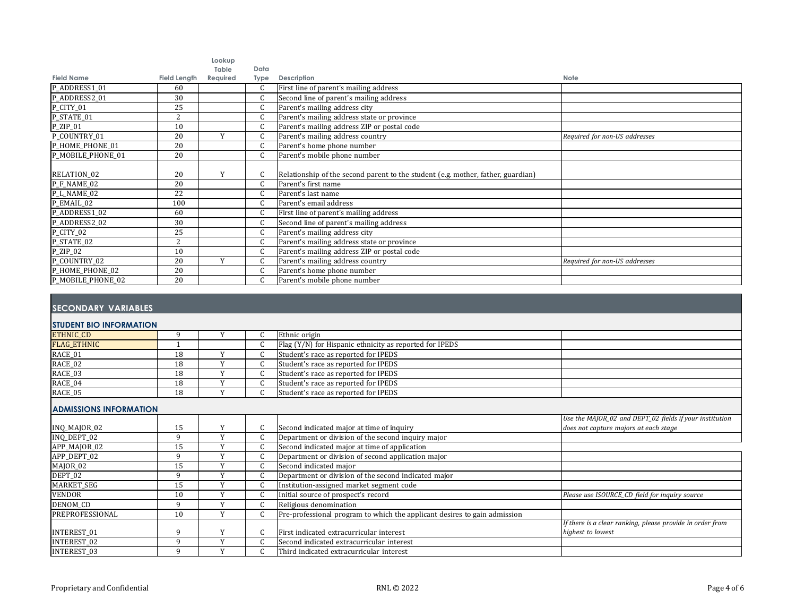|                        |                     | Lookup            |              |                                                                                  |                               |
|------------------------|---------------------|-------------------|--------------|----------------------------------------------------------------------------------|-------------------------------|
| <b>Field Name</b>      | <b>Field Length</b> | Table<br>Required | Data<br>Type | Description                                                                      | Note                          |
| P_ADDRESS1_01          | 60                  |                   |              | First line of parent's mailing address                                           |                               |
| P_ADDRESS2_01          | 30                  |                   |              | Second line of parent's mailing address                                          |                               |
| P_CITY_01              | 25                  |                   |              | Parent's mailing address city                                                    |                               |
| P_STATE_01             | $\overline{2}$      |                   |              | Parent's mailing address state or province                                       |                               |
| $P_$ <i>ZIP</i> _01    | 10                  |                   |              | Parent's mailing address ZIP or postal code                                      |                               |
| P COUNTRY 01           | 20                  | $\mathbf{v}$      |              | Parent's mailing address country                                                 | Required for non-US addresses |
| P_HOME_PHONE_01        | 20                  |                   |              | Parent's home phone number                                                       |                               |
| P_MOBILE_PHONE_01      | 20                  |                   |              | Parent's mobile phone number                                                     |                               |
|                        |                     |                   |              |                                                                                  |                               |
| RELATION <sub>02</sub> | 20                  | Y                 |              | Relationship of the second parent to the student (e.g. mother, father, guardian) |                               |
| P_F_NAME_02            | 20                  |                   |              | Parent's first name                                                              |                               |
| P_L_NAME_02            | 22                  |                   |              | Parent's last name                                                               |                               |
| P_EMAIL_02             | 100                 |                   |              | Parent's email address                                                           |                               |
| P_ADDRESS1_02          | 60                  |                   |              | First line of parent's mailing address                                           |                               |
| P_ADDRESS2_02          | 30                  |                   |              | Second line of parent's mailing address                                          |                               |
| P_CITY_02              | 25                  |                   |              | Parent's mailing address city                                                    |                               |
| P_STATE_02             | 2                   |                   |              | Parent's mailing address state or province                                       |                               |
| $P_$ <i>ZIP</i> _02    | 10                  |                   |              | Parent's mailing address ZIP or postal code                                      |                               |
| P_COUNTRY_02           | 20                  | Y                 |              | Parent's mailing address country                                                 | Required for non-US addresses |
| P_HOME_PHONE_02        | 20                  |                   |              | Parent's home phone number                                                       |                               |
| P_MOBILE_PHONE_02      | 20                  |                   |              | Parent's mobile phone number                                                     |                               |

## **SECONDARY VARIABLES**

## **STUDENT BIO INFORMATION**

| <b>ETHNIC CD</b>   |    |  | Ethnic origin                                           |  |
|--------------------|----|--|---------------------------------------------------------|--|
| <b>FLAG ETHNIC</b> |    |  | Flag (Y/N) for Hispanic ethnicity as reported for IPEDS |  |
| RACE_01            | 18 |  | Student's race as reported for IPEDS                    |  |
| RACE_02            | 18 |  | Student's race as reported for IPEDS                    |  |
| RACE_03            | 18 |  | Student's race as reported for IPEDS                    |  |
| RACE_04            | 18 |  | Student's race as reported for IPEDS                    |  |
| RACE_05            | 18 |  | Student's race as reported for IPEDS                    |  |

## **ADMISSIONS INFORMATION**

|                     |    |  |                                                                           | Use the MAJOR_02 and DEPT_02 fields if your institution   |
|---------------------|----|--|---------------------------------------------------------------------------|-----------------------------------------------------------|
| INQ_MAJOR_02        | 15 |  | Second indicated major at time of inquiry                                 | does not capture majors at each stage                     |
| INQ_DEPT_02         |    |  | Department or division of the second inquiry major                        |                                                           |
| APP_MAJOR_02        | 15 |  | Second indicated major at time of application                             |                                                           |
| APP_DEPT_02         |    |  | Department or division of second application major                        |                                                           |
| MAJOR <sub>02</sub> | 15 |  | Second indicated major                                                    |                                                           |
| DEPT_02             |    |  | Department or division of the second indicated major                      |                                                           |
| MARKET_SEG          | 15 |  | Institution-assigned market segment code                                  |                                                           |
| <b>VENDOR</b>       | 10 |  | Initial source of prospect's record                                       | Please use ISOURCE_CD field for inquiry source            |
| DENOM CD            |    |  | Religious denomination                                                    |                                                           |
| PREPROFESSIONAL     | 10 |  | Pre-professional program to which the applicant desires to gain admission |                                                           |
|                     |    |  |                                                                           | If there is a clear ranking, please provide in order from |
| <b>INTEREST 01</b>  |    |  | First indicated extracurricular interest                                  | highest to lowest                                         |
| <b>INTEREST 02</b>  |    |  | Second indicated extracurricular interest                                 |                                                           |
| <b>INTEREST 03</b>  |    |  | Third indicated extracurricular interest                                  |                                                           |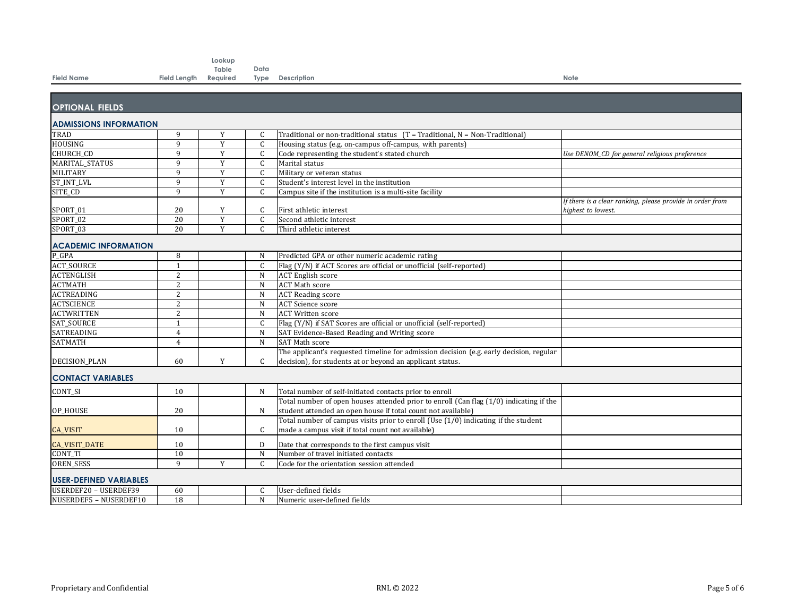|                               |                | Lookup            |               |                                                                                         |                                                           |
|-------------------------------|----------------|-------------------|---------------|-----------------------------------------------------------------------------------------|-----------------------------------------------------------|
| <b>Field Name</b>             |                | Table<br>Required | Data          |                                                                                         | Note                                                      |
|                               | Field Length   |                   | Type          | Description                                                                             |                                                           |
|                               |                |                   |               |                                                                                         |                                                           |
| <b>OPTIONAL FIELDS</b>        |                |                   |               |                                                                                         |                                                           |
|                               |                |                   |               |                                                                                         |                                                           |
| <b>ADMISSIONS INFORMATION</b> |                |                   |               |                                                                                         |                                                           |
| TRAD                          | 9              | Y                 | C             | Traditional or non-traditional status (T = Traditional, N = Non-Traditional)            |                                                           |
| <b>HOUSING</b>                | 9              | Y                 | $\mathsf{C}$  | Housing status (e.g. on-campus off-campus, with parents)                                |                                                           |
| <b>CHURCH CD</b>              | 9              | Y                 | C             | Code representing the student's stated church                                           | Use DENOM_CD for general religious preference             |
| MARITAL_STATUS                | 9              | Y                 | $\mathsf{C}$  | Marital status                                                                          |                                                           |
| <b>MILITARY</b>               | 9              | Y                 | C             | Military or veteran status                                                              |                                                           |
| ST_INT_LVL                    | 9              | Y                 | C             | Student's interest level in the institution                                             |                                                           |
| SITE_CD                       | 9              | Y                 | $\mathsf{C}$  | Campus site if the institution is a multi-site facility                                 |                                                           |
|                               |                |                   |               |                                                                                         | If there is a clear ranking, please provide in order from |
| SPORT 01                      | 20             | Y                 | $\mathsf{C}$  | First athletic interest                                                                 | highest to lowest.                                        |
| SPORT 02                      | 20             | $\overline{Y}$    | $\mathsf{C}$  | Second athletic interest                                                                |                                                           |
| SPORT_03                      | 20             | Y                 | $\mathcal{C}$ | Third athletic interest                                                                 |                                                           |
| <b>ACADEMIC INFORMATION</b>   |                |                   |               |                                                                                         |                                                           |
| P GPA                         | 8              |                   | N             | Predicted GPA or other numeric academic rating                                          |                                                           |
| <b>ACT_SOURCE</b>             | $\mathbf{1}$   |                   | $\mathsf{C}$  | Flag (Y/N) if ACT Scores are official or unofficial (self-reported)                     |                                                           |
| <b>ACTENGLISH</b>             | 2              |                   | $\mathbf N$   | <b>ACT</b> English score                                                                |                                                           |
| <b>ACTMATH</b>                | 2              |                   | N             | <b>ACT Math score</b>                                                                   |                                                           |
| <b>ACTREADING</b>             | $\overline{2}$ |                   | ${\bf N}$     | <b>ACT</b> Reading score                                                                |                                                           |
| <b>ACTSCIENCE</b>             | 2              |                   | N             | <b>ACT</b> Science score                                                                |                                                           |
| <b>ACTWRITTEN</b>             | $\overline{2}$ |                   | N             | <b>ACT Written score</b>                                                                |                                                           |
| SAT_SOURCE                    | $\mathbf{1}$   |                   | $\mathsf{C}$  | Flag (Y/N) if SAT Scores are official or unofficial (self-reported)                     |                                                           |
| SATREADING                    | $\overline{4}$ |                   | N             | SAT Evidence-Based Reading and Writing score                                            |                                                           |
| <b>SATMATH</b>                | $\overline{4}$ |                   | $\mathbf N$   | SAT Math score                                                                          |                                                           |
|                               |                |                   |               | The applicant's requested timeline for admission decision (e.g. early decision, regular |                                                           |
|                               | 60             | Y                 | C.            | decision), for students at or beyond an applicant status.                               |                                                           |
| <b>DECISION PLAN</b>          |                |                   |               |                                                                                         |                                                           |
| <b>CONTACT VARIABLES</b>      |                |                   |               |                                                                                         |                                                           |
| CONT_SI                       | 10             |                   | N             | Total number of self-initiated contacts prior to enroll                                 |                                                           |
|                               |                |                   |               | Total number of open houses attended prior to enroll (Can flag (1/0) indicating if the  |                                                           |
| OP HOUSE                      | 20             |                   | N             | student attended an open house if total count not available)                            |                                                           |
|                               |                |                   |               | Total number of campus visits prior to enroll (Use $(1/0)$ indicating if the student    |                                                           |
| <b>CA_VISIT</b>               | 10             |                   | $\mathsf{C}$  | made a campus visit if total count not available)                                       |                                                           |
| <b>CA_VISIT_DATE</b>          | 10             |                   | D             | Date that corresponds to the first campus visit                                         |                                                           |
| <b>CONT TI</b>                | 10             |                   | N             | Number of travel initiated contacts                                                     |                                                           |
| <b>OREN SESS</b>              | $\mathbf{q}$   | Y                 | C.            | Code for the orientation session attended                                               |                                                           |
|                               |                |                   |               |                                                                                         |                                                           |
| <b>USER-DEFINED VARIABLES</b> |                |                   |               |                                                                                         |                                                           |
| USERDEF20 - USERDEF39         | 60             |                   | C             | User-defined fields                                                                     |                                                           |
| NUSERDEF5 - NUSERDEF10        | 18             |                   | N             | Numeric user-defined fields                                                             |                                                           |